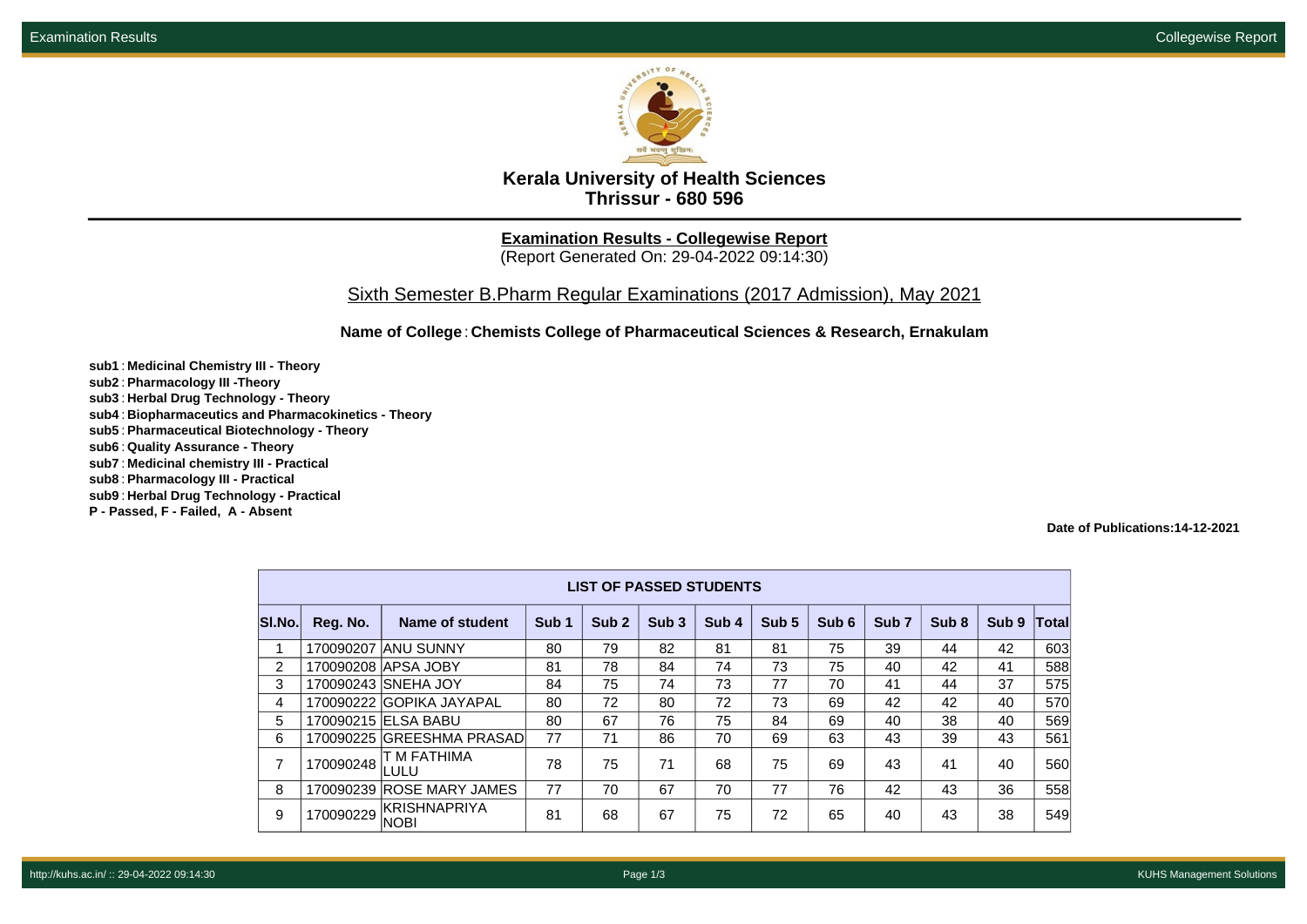

**Kerala University of Health Sciences Thrissur - 680 596**

**Examination Results - Collegewise Report** (Report Generated On: 29-04-2022 09:14:30)

Sixth Semester B.Pharm Regular Examinations (2017 Admission), May 2021

**Name of College**: **Chemists College of Pharmaceutical Sciences & Research, Ernakulam**

**sub1** : **Medicinal Chemistry III - Theory sub2** : **Pharmacology III -Theory sub3** : **Herbal Drug Technology - Theory sub4** : **Biopharmaceutics and Pharmacokinetics - Theory sub5** : **Pharmaceutical Biotechnology - Theory sub6** : **Quality Assurance - Theory sub7** : **Medicinal chemistry III - Practical sub8** : **Pharmacology III - Practical**

**sub9** : **Herbal Drug Technology - Practical**

**P - Passed, F - Failed, A - Absent**

**Date of Publications:14-12-2021**

|                | <b>LIST OF PASSED STUDENTS</b> |                             |                  |                  |                  |                  |                  |       |                  |                  |                  |              |  |
|----------------|--------------------------------|-----------------------------|------------------|------------------|------------------|------------------|------------------|-------|------------------|------------------|------------------|--------------|--|
| SI.No.         | Reg. No.                       | Name of student             | Sub <sub>1</sub> | Sub <sub>2</sub> | Sub <sub>3</sub> | Sub <sub>4</sub> | Sub <sub>5</sub> | Sub 6 | Sub <sub>7</sub> | Sub <sub>8</sub> | Sub <sub>9</sub> | <b>Total</b> |  |
| 1              | 170090207                      | <b>ANU SUNNY</b>            | 80               | 79               | 82               | 81               | 81               | 75    | 39               | 44               | 42               | 603          |  |
| $\overline{2}$ |                                | 170090208 APSA JOBY         | 81               | 78               | 84               | 74               | 73               | 75    | 40               | 42               | 41               | 588          |  |
| 3              |                                | 170090243 SNEHA JOY         | 84               | 75               | 74               | 73               | 77               | 70    | 41               | 44               | 37               | 575          |  |
| 4              |                                | 170090222 GOPIKA JAYAPAL    | 80               | 72               | 80               | 72               | 73               | 69    | 42               | 42               | 40               | 570          |  |
| 5              |                                | 170090215 ELSA BABU         | 80               | 67               | 76               | 75               | 84               | 69    | 40               | 38               | 40               | 569          |  |
| 6              |                                | 170090225 GREESHMA PRASAD   | 77               | 71               | 86               | 70               | 69               | 63    | 43               | 39               | 43               | 561          |  |
| 7              | 170090248                      | T M FATHIMA<br>LULU         | 78               | 75               | 71               | 68               | 75               | 69    | 43               | 41               | 40               | 560          |  |
| 8              | 170090239                      | <b>ROSE MARY JAMES</b>      | 77               | 70               | 67               | 70               | 77               | 76    | 42               | 43               | 36               | 558          |  |
| 9              | 170090229                      | KRISHNAPRIYA<br><b>NOBI</b> | 81               | 68               | 67               | 75               | 72               | 65    | 40               | 43               | 38               | 549          |  |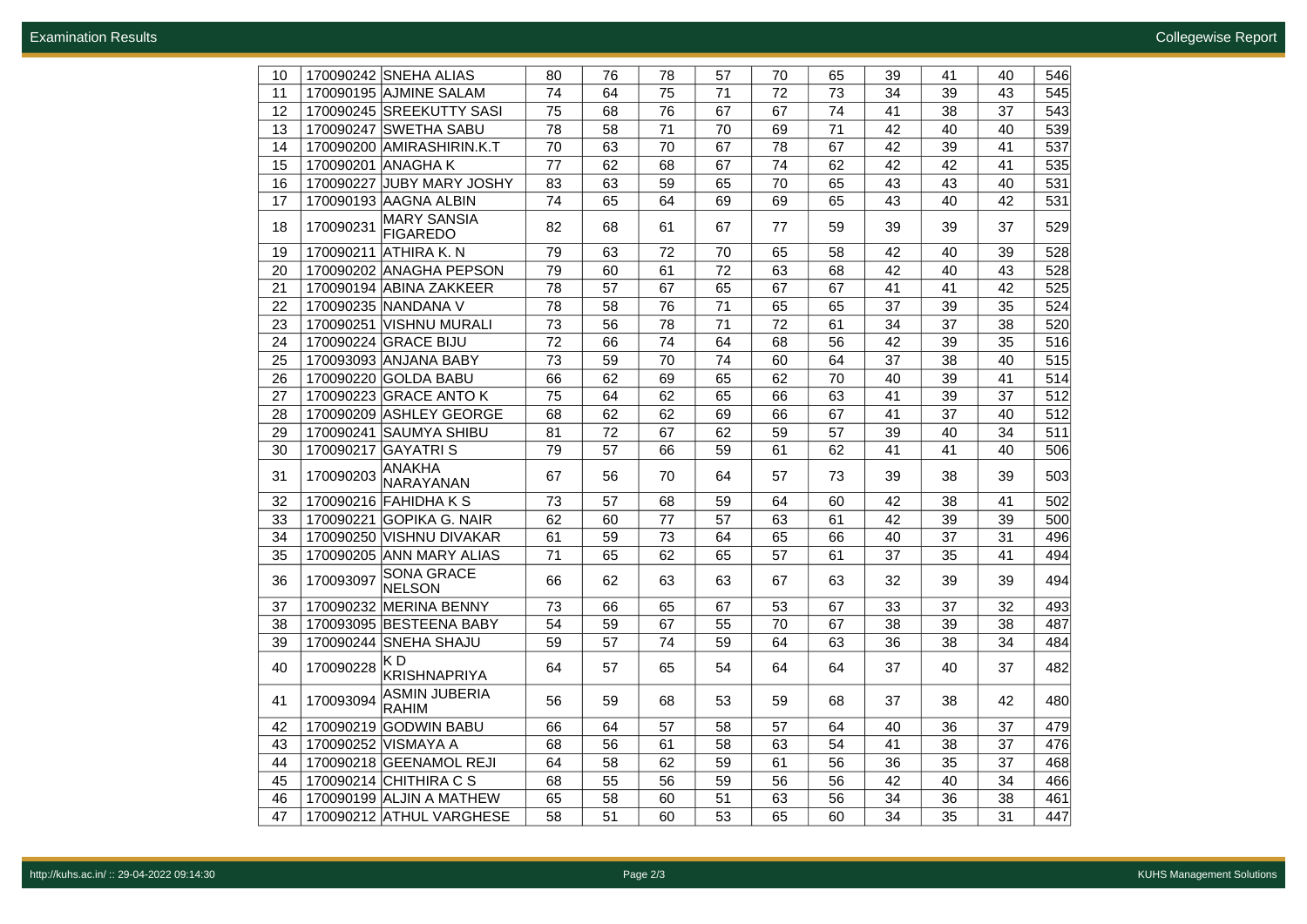| 10 | 170090242 SNEHA ALIAS                              | 80              | 76 | 78              | 57              | 70              | 65 | 39 | 41 | 40 | 546 |
|----|----------------------------------------------------|-----------------|----|-----------------|-----------------|-----------------|----|----|----|----|-----|
| 11 | 170090195 AJMINE SALAM                             | 74              | 64 | 75              | 71              | 72              | 73 | 34 | 39 | 43 | 545 |
| 12 | 170090245 SREEKUTTY SASI                           | 75              | 68 | 76              | 67              | 67              | 74 | 41 | 38 | 37 | 543 |
| 13 | 170090247 SWETHA SABU                              | 78              | 58 | 71              | 70              | 69              | 71 | 42 | 40 | 40 | 539 |
| 14 | 170090200 AMIRASHIRIN.K.T                          | 70              | 63 | 70              | 67              | 78              | 67 | 42 | 39 | 41 | 537 |
| 15 | 170090201 ANAGHA K                                 | 77              | 62 | 68              | 67              | 74              | 62 | 42 | 42 | 41 | 535 |
| 16 | 170090227 JJUBY MARY JOSHY                         | 83              | 63 | 59              | 65              | 70              | 65 | 43 | 43 | 40 | 531 |
| 17 | 170090193 AAGNA ALBIN                              | 74              | 65 | 64              | 69              | 69              | 65 | 43 | 40 | 42 | 531 |
| 18 | <b>MARY SANSIA</b><br>170090231<br><b>FIGAREDO</b> | 82              | 68 | 61              | 67              | 77              | 59 | 39 | 39 | 37 | 529 |
| 19 | 170090211 ATHIRA K. N                              | 79              | 63 | 72              | 70              | 65              | 58 | 42 | 40 | 39 | 528 |
| 20 | 170090202 ANAGHA PEPSON                            | 79              | 60 | 61              | 72              | 63              | 68 | 42 | 40 | 43 | 528 |
| 21 | 170090194 ABINA ZAKKEER                            | 78              | 57 | 67              | 65              | 67              | 67 | 41 | 41 | 42 | 525 |
| 22 | 170090235 NANDANA V                                | 78              | 58 | $\overline{76}$ | 71              | 65              | 65 | 37 | 39 | 35 | 524 |
| 23 | 170090251 VISHNU MURALI                            | 73              | 56 | 78              | $\overline{71}$ | $\overline{72}$ | 61 | 34 | 37 | 38 | 520 |
| 24 | 170090224 GRACE BIJU                               | 72              | 66 | 74              | 64              | 68              | 56 | 42 | 39 | 35 | 516 |
| 25 | 170093093 ANJANA BABY                              | $\overline{73}$ | 59 | 70              | 74              | 60              | 64 | 37 | 38 | 40 | 515 |
| 26 | 170090220 GOLDA BABU                               | 66              | 62 | 69              | 65              | 62              | 70 | 40 | 39 | 41 | 514 |
| 27 | 170090223 GRACE ANTO K                             | 75              | 64 | 62              | 65              | 66              | 63 | 41 | 39 | 37 | 512 |
| 28 | 170090209 ASHLEY GEORGE                            | 68              | 62 | 62              | 69              | 66              | 67 | 41 | 37 | 40 | 512 |
| 29 | 170090241 SAUMYA SHIBU                             | 81              | 72 | 67              | 62              | 59              | 57 | 39 | 40 | 34 | 511 |
| 30 | 170090217 GAYATRIS                                 | 79              | 57 | 66              | 59              | 61              | 62 | 41 | 41 | 40 | 506 |
| 31 | ANAKHA<br>170090203<br>NARAYANAN                   | 67              | 56 | 70              | 64              | 57              | 73 | 39 | 38 | 39 | 503 |
| 32 | 170090216 FAHIDHA K S                              | 73              | 57 | 68              | 59              | 64              | 60 | 42 | 38 | 41 | 502 |
| 33 | 170090221 GOPIKA G. NAIR                           | 62              | 60 | 77              | 57              | 63              | 61 | 42 | 39 | 39 | 500 |
| 34 | 170090250 VISHNU DIVAKAR                           | 61              | 59 | 73              | 64              | 65              | 66 | 40 | 37 | 31 | 496 |
| 35 | 170090205 ANN MARY ALIAS                           | 71              | 65 | 62              | 65              | 57              | 61 | 37 | 35 | 41 | 494 |
| 36 | <b>SONA GRACE</b><br>170093097<br>NELSON           | 66              | 62 | 63              | 63              | 67              | 63 | 32 | 39 | 39 | 494 |
| 37 | 170090232 MERINA BENNY                             | 73              | 66 | 65              | 67              | 53              | 67 | 33 | 37 | 32 | 493 |
| 38 | 170093095 BESTEENA BABY                            | 54              | 59 | 67              | 55              | 70              | 67 | 38 | 39 | 38 | 487 |
| 39 | 170090244 SNEHA SHAJU                              | 59              | 57 | 74              | 59              | 64              | 63 | 36 | 38 | 34 | 484 |
| 40 | ΚD<br>170090228<br>KRISHNAPRIYA                    | 64              | 57 | 65              | 54              | 64              | 64 | 37 | 40 | 37 | 482 |
| 41 | <b>ASMIN JUBERIA</b><br>170093094<br><b>RAHIM</b>  | 56              | 59 | 68              | 53              | 59              | 68 | 37 | 38 | 42 | 480 |
| 42 | 170090219 GODWIN BABU                              | 66              | 64 | 57              | 58              | 57              | 64 | 40 | 36 | 37 | 479 |
| 43 | 170090252 VISMAYA A                                | 68              | 56 | 61              | 58              | 63              | 54 | 41 | 38 | 37 | 476 |
| 44 | 170090218 GEENAMOL REJI                            | 64              | 58 | 62              | 59              | 61              | 56 | 36 | 35 | 37 | 468 |
| 45 | 170090214 CHITHIRA C S                             | 68              | 55 | 56              | 59              | 56              | 56 | 42 | 40 | 34 | 466 |
| 46 | 170090199 ALJIN A MATHEW                           | 65              | 58 | 60              | 51              | 63              | 56 | 34 | 36 | 38 | 461 |
| 47 | 170090212 ATHUL VARGHESE                           | 58              | 51 | 60              | 53              | 65              | 60 | 34 | 35 | 31 | 447 |